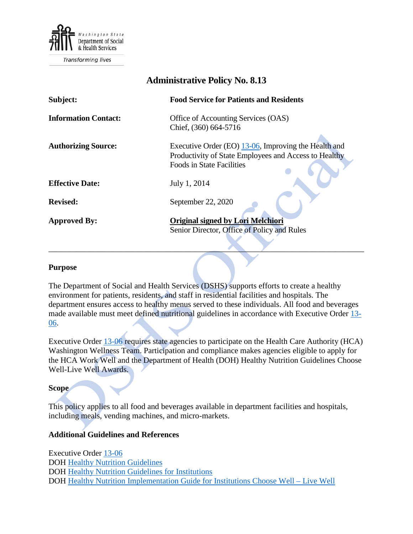

Transforming lives

| Auninistrative I oney 190. 0.19 |                                                                                                                                                        |
|---------------------------------|--------------------------------------------------------------------------------------------------------------------------------------------------------|
| Subject:                        | <b>Food Service for Patients and Residents</b>                                                                                                         |
| <b>Information Contact:</b>     | Office of Accounting Services (OAS)<br>Chief, (360) 664-5716                                                                                           |
| <b>Authorizing Source:</b>      | Executive Order (EO) $13\n-06$ , Improving the Health and<br>Productivity of State Employees and Access to Healthy<br><b>Foods in State Facilities</b> |
| <b>Effective Date:</b>          | July 1, 2014                                                                                                                                           |
| <b>Revised:</b>                 | September 22, 2020                                                                                                                                     |
| <b>Approved By:</b>             | <b>Original signed by Lori Melchiori</b><br>Senior Director, Office of Policy and Rules                                                                |

**Administrative Policy No. 8.13**

#### **Purpose**

The Department of Social and Health Services (DSHS) supports efforts to create a healthy environment for patients, residents, and staff in residential facilities and hospitals. The department ensures access to healthy menus served to these individuals. All food and beverages made available must meet defined nutritional guidelines in accordance with Executive Order [13-](https://www.governor.wa.gov/sites/default/files/exe_order/eo_13-06.pdf) [06.](https://www.governor.wa.gov/sites/default/files/exe_order/eo_13-06.pdf)

\_\_\_\_\_\_\_\_\_\_\_\_\_\_\_\_\_\_\_\_\_\_\_\_\_\_\_\_\_\_\_\_\_\_\_\_\_\_\_\_\_\_\_\_\_\_\_\_\_\_\_\_\_\_\_\_\_\_\_\_\_\_\_\_\_\_\_\_\_\_\_\_\_\_\_\_\_\_

Executive Order [13-06](https://www.governor.wa.gov/sites/default/files/exe_order/eo_13-06.pdf) requires state agencies to participate on the Health Care Authority (HCA) Washington Wellness Team. Participation and compliance makes agencies eligible to apply for the HCA Work Well and the Department of Health (DOH) Healthy Nutrition Guidelines Choose Well-Live Well Awards.

#### **Scope**

This policy applies to all food and beverages available in department facilities and hospitals, including meals, vending machines, and micro-markets.

### **Additional Guidelines and References**

Executive Order [13-06](https://www.governor.wa.gov/sites/default/files/exe_order/eo_13-06.pdf) DOH [Healthy Nutrition Guidelines](https://www.doh.wa.gov/CommunityandEnvironment/WorksiteWellness/HealthyNutritionGuidelines) DOH [Healthy Nutrition Guidelines](https://www.doh.wa.gov/CommunityandEnvironment/WorksiteWellness/HealthyNutritionGuidelines/Institutions) for Institutions DOH [Healthy Nutrition Implementation Guide](https://www.doh.wa.gov/Portals/1/Documents/Pubs/340-224-InstitutionsImplementationGuide.pdf) for Institutions Choose Well – Live Well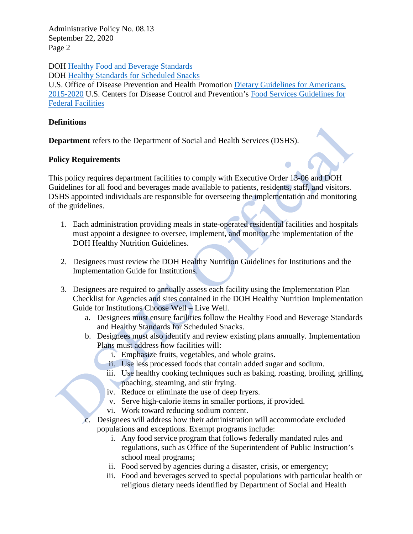Administrative Policy No. 08.13 September 22, 2020 Page 2

DOH [Healthy Food and Beverage Standards](https://www.doh.wa.gov/CommunityandEnvironment/WorksiteWellness/HealthyNutritionGuidelines/Institutions/Meals)

DOH [Healthy Standards for Scheduled Snacks](https://www.doh.wa.gov/CommunityandEnvironment/WorksiteWellness/HealthyNutritionGuidelines/Institutions/Snacks)

U.S. Office of Disease Prevention and Health Promotion [Dietary Guidelines for Americans,](https://health.gov/dietaryguidelines/2015/guidelines/)  [2015-2020](https://health.gov/dietaryguidelines/2015/guidelines/) U.S. Centers for Disease Control and Prevention's [Food Services Guidelines for](https://www.cdc.gov/obesity/downloads/guidelines_for_federal_concessions_and_vending_operations.pdf)  [Federal Facilities](https://www.cdc.gov/obesity/downloads/guidelines_for_federal_concessions_and_vending_operations.pdf)

# **Definitions**

**Department** refers to the Department of Social and Health Services (DSHS).

## **Policy Requirements**

This policy requires department facilities to comply with Executive Order 13-06 and DOH Guidelines for all food and beverages made available to patients, residents, staff, and visitors. DSHS appointed individuals are responsible for overseeing the implementation and monitoring of the guidelines.

- 1. Each administration providing meals in state-operated residential facilities and hospitals must appoint a designee to oversee, implement, and monitor the implementation of the DOH Healthy Nutrition Guidelines.
- 2. Designees must review the DOH Healthy Nutrition Guidelines for Institutions and the Implementation Guide for Institutions.
- 3. Designees are required to annually assess each facility using the Implementation Plan Checklist for Agencies and sites contained in the DOH Healthy Nutrition Implementation Guide for Institutions Choose Well – Live Well.
	- a. Designees must ensure facilities follow the Healthy Food and Beverage Standards and Healthy Standards for Scheduled Snacks.
	- b. Designees must also identify and review existing plans annually. Implementation Plans must address how facilities will:
		- i. Emphasize fruits, vegetables, and whole grains.
		- ii. Use less processed foods that contain added sugar and sodium.
		- iii. Use healthy cooking techniques such as baking, roasting, broiling, grilling, poaching, steaming, and stir frying.
		- iv. Reduce or eliminate the use of deep fryers.
		- v. Serve high-calorie items in smaller portions, if provided.
		- vi. Work toward reducing sodium content.
	- c. Designees will address how their administration will accommodate excluded populations and exceptions. Exempt programs include:
		- i. Any food service program that follows federally mandated rules and regulations, such as Office of the Superintendent of Public Instruction's school meal programs;
		- ii. Food served by agencies during a disaster, crisis, or emergency;
		- iii. Food and beverages served to special populations with particular health or religious dietary needs identified by Department of Social and Health